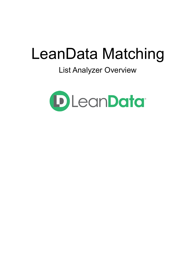# LeanData Matching

## List Analyzer Overview

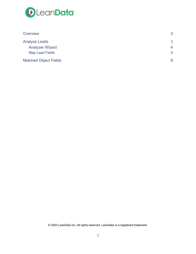

| Overview                     | 3               |
|------------------------------|-----------------|
| <b>Analyze Leads</b>         | 3               |
| <b>Analyzer Wizard</b>       | $\overline{4}$  |
| <b>Map Lead Fields</b>       | $5\phantom{.0}$ |
| <b>Matched Object Fields</b> | 8               |

© 2020 LeanData Inc. All rights reserved. LeanData is a registered trademark.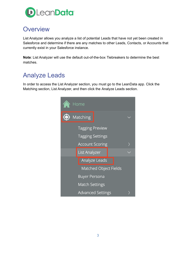

### <span id="page-2-0"></span>**Overview**

List Analyzer allows you analyze a list of potential Leads that have not yet been created in Salesforce and determine if there are any matches to other Leads, Contacts, or Accounts that currently exist in your Salesforce instance.

**Note**: List Analyzer will use the default out-of-the-box Tiebreakers to determine the best matches.

## <span id="page-2-1"></span>Analyze Leads

In order to access the List Analyzer section, you must go to the LeanData app. Click the Matching section, List Analyzer, and then click the Analyze Leads section.

|         | Home                                              |  |
|---------|---------------------------------------------------|--|
| $\odot$ | Matching                                          |  |
|         | <b>Tagging Preview</b><br><b>Tagging Settings</b> |  |
|         | <b>Account Scoring</b>                            |  |
|         | List Analyzer                                     |  |
|         | <b>Analyze Leads</b>                              |  |
|         | Matched Object Fields                             |  |
|         | <b>Buyer Persona</b>                              |  |
|         | <b>Match Settings</b>                             |  |
|         | <b>Advanced Settings</b>                          |  |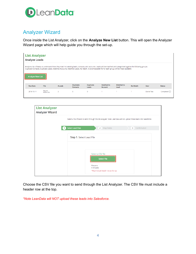

#### <span id="page-3-0"></span>Analyzer Wizard

Once inside the List Analyzer, click on the **Analyze New List** button. This will open the Analyzer Wizard page which will help guide you through the set-up.

| <b>List Analyzer</b><br><b>Analyze Leads</b>                                                                                                                                                                                                                                                                      |                    |                |                                     |                    |                                     |                    |          |             |               |
|-------------------------------------------------------------------------------------------------------------------------------------------------------------------------------------------------------------------------------------------------------------------------------------------------------------------|--------------------|----------------|-------------------------------------|--------------------|-------------------------------------|--------------------|----------|-------------|---------------|
| Analyze a list of leads to understand how they match to existing leads, contacts, and accounts. Leads will be matched and categorized against the following groups:<br>Duplicate Contacts, Duplicate Leads, Matched Accounts, Matched Leads, No Match. A downloadable file for each group will be made available. |                    |                |                                     |                    |                                     |                    |          |             |               |
| <b>Analyze New List</b>                                                                                                                                                                                                                                                                                           |                    |                |                                     |                    |                                     |                    |          |             |               |
| <b>Run Date</b>                                                                                                                                                                                                                                                                                                   | File               | #Leads         | <b>Duplicate</b><br><b>Contacts</b> | Duplicate<br>Leads | <b>Matched to</b><br><b>Account</b> | Matched to<br>Lead | No Match | <b>User</b> | <b>Status</b> |
| 2018-10-11                                                                                                                                                                                                                                                                                                        | Round<br>Robin.csv | $\overline{2}$ | $\circ$                             | $\mathbf{O}$       |                                     |                    |          | Daniel Test | Completed (   |

| <b>Select Lead Files</b> | $\overline{2}$<br>Map Fields                                    | 3 <sup>1</sup><br>Confirmation                                                                                                                   |
|--------------------------|-----------------------------------------------------------------|--------------------------------------------------------------------------------------------------------------------------------------------------|
|                          |                                                                 |                                                                                                                                                  |
|                          |                                                                 |                                                                                                                                                  |
|                          | Select a CSV file<br><b>Select File</b>                         |                                                                                                                                                  |
|                          | Filename:<br># of Leads:<br>*Must include header row at the top |                                                                                                                                                  |
|                          |                                                                 | Select a file of leads to send through the list analyzer. Note LeanData will not upload these leads into Salesforce.<br>Step 1: Select Lead File |

Choose the CSV file you want to send through the List Analyzer. The CSV file must include a header row at the top.

*\*Note LeanData will NOT upload these leads into Salesforce.*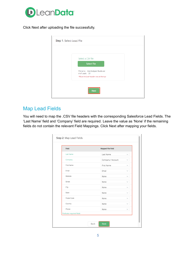

Click Next after uploading the file successfully.

| Step 1: Select Lead File |                                                                                            |
|--------------------------|--------------------------------------------------------------------------------------------|
|                          |                                                                                            |
|                          | Select a CSV file<br><b>Select File</b>                                                    |
|                          | Filename: List Analyzer Guide.csv<br># of Leads: 22<br>*Must include header row at the top |
|                          | <b>Next</b>                                                                                |

#### <span id="page-4-0"></span>Map Lead Fields

You will need to map the .CSV file headers with the corresponding Salesforce Lead Fields. The 'Last Name' field and 'Company' field are required. Leave the value as 'None' if the remaining fields do not contain the relevant Field Mappings. Click Next after mapping your fields.

| Field                      | <b>Mapped File Field</b>          |
|----------------------------|-----------------------------------|
| <b>Last Name</b>           | Last Name<br>$\checkmark$         |
| Company                    | Company / Account<br>$\checkmark$ |
| First Name                 | First Name<br>$\checkmark$        |
| Email                      | Email                             |
| Website                    | None                              |
| Street                     | None                              |
| City                       | None<br>$\checkmark$              |
| State                      | None                              |
| Postal Code                | None                              |
| Country                    | None<br>$\checkmark$              |
| Phone                      | None<br>$\checkmark$              |
| *Indicates required fields |                                   |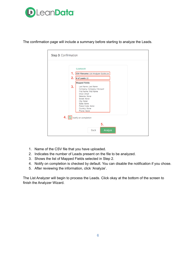



The confirmation page will include a summary before starting to analyze the Leads.

- 1. Name of the CSV file that you have uploaded.
- 2. Indicates the number of Leads present on the file to be analyzed.
- 3. Shows the list of Mapped Fields selected in Step 2.
- 4. Notify on completion is checked by default. You can disable the notification if you chose.
- 5. After reviewing the information, click 'Analyze'.

The List Analyzer will begin to process the Leads. Click okay at the bottom of the screen to finish the Analyzer Wizard.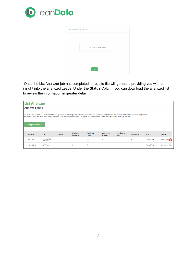

| List analysis in progress |                                |  |
|---------------------------|--------------------------------|--|
|                           |                                |  |
|                           | Your leads are being analyzed. |  |
|                           |                                |  |
|                           | OK                             |  |

Once the List Analyzer job has completed, a results file will generate providing you with an insight into the analyzed Leads. Under the **Status** Column you can download the analyzed list to review the information in greater detail.

|                                                                                                                                                                                                                                                                                                                                       | <b>List Analyzer</b>       |                |                                     |                           |                       |                    |          |             |                        |
|---------------------------------------------------------------------------------------------------------------------------------------------------------------------------------------------------------------------------------------------------------------------------------------------------------------------------------------|----------------------------|----------------|-------------------------------------|---------------------------|-----------------------|--------------------|----------|-------------|------------------------|
| <b>Analyze Leads</b>                                                                                                                                                                                                                                                                                                                  |                            |                |                                     |                           |                       |                    |          |             |                        |
| Analyze a list of leads to understand how they match to existing leads, contacts, and accounts. Leads will be matched and categorized against the following groups:<br>Duplicate Contacts, Duplicate Leads, Matched Accounts, Matched Leads, No Match. A downloadable file for each group will be made available.<br>Analyze New List |                            |                |                                     |                           |                       |                    |          |             |                        |
| <b>Run Date</b>                                                                                                                                                                                                                                                                                                                       | File                       | #Leads         | <b>Duplicate</b><br><b>Contacts</b> | <b>Duplicate</b><br>Leads | Matched to<br>Account | Matched to<br>Lead | No Match | <b>User</b> | <b>Status</b>          |
| 2018-10-30                                                                                                                                                                                                                                                                                                                            | List Analyzer<br>Guide.csv | 22             | 3                                   | 22                        | 3                     | 0                  | $\bf{0}$ | Daniel Test | Completed <sup>(</sup> |
| 2018-10-11                                                                                                                                                                                                                                                                                                                            | Round<br>Robin.csv         | $\overline{2}$ | 0                                   | $\circ$                   |                       |                    |          | Daniel Test | Completed $($          |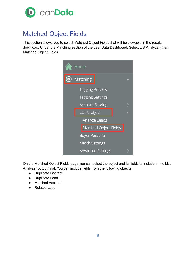

## <span id="page-7-0"></span>Matched Object Fields

This section allows you to select Matched Object Fields that will be viewable in the results download. Under the Matching section of the LeanData Dashboard, Select List Analyzer, then Matched Object Fields.

|         | Home                     |  |
|---------|--------------------------|--|
| $\odot$ | Matching                 |  |
|         | <b>Tagging Preview</b>   |  |
|         | <b>Tagging Settings</b>  |  |
|         | <b>Account Scoring</b>   |  |
|         | <b>List Analyzer</b>     |  |
|         | Analyze Leads            |  |
|         | Matched Object Fields    |  |
|         | <b>Buyer Persona</b>     |  |
|         | <b>Match Settings</b>    |  |
|         | <b>Advanced Settings</b> |  |

On the Matched Object Fields page you can select the object and its fields to include in the List Analyzer output final. You can include fields from the following objects:

- Duplicate Contact
- Duplicate Lead
- Matched Account
- Related Lead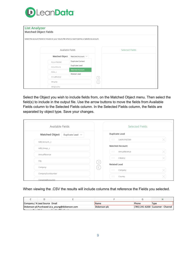

| <b>List Analyzer</b><br><b>Matched Object Fields</b>                                                 |                  |                                               |  |                        |  |  |  |  |
|------------------------------------------------------------------------------------------------------|------------------|-----------------------------------------------|--|------------------------|--|--|--|--|
| Select the account fields to include on your results file where a lead matches a Salesforce account. |                  |                                               |  |                        |  |  |  |  |
|                                                                                                      | Available Fields |                                               |  | <b>Selected Fields</b> |  |  |  |  |
|                                                                                                      | Matched Object   | Matched Account $\;\vee\;$                    |  |                        |  |  |  |  |
|                                                                                                      | AccountNumber    | <b>Duplicate Contact</b>                      |  |                        |  |  |  |  |
|                                                                                                      | AccountSource    | Duplicate Lead                                |  |                        |  |  |  |  |
|                                                                                                      | Active_c         | <b>Matched Account</b><br><b>Related Lead</b> |  |                        |  |  |  |  |
|                                                                                                      | AnnualRevenue    |                                               |  |                        |  |  |  |  |
|                                                                                                      | BillingCity      |                                               |  |                        |  |  |  |  |
|                                                                                                      | BillingCountry   |                                               |  |                        |  |  |  |  |

Select the Object you wish to include fields from, on the Matched Object menu. Then select the field(s) to include in the output file. Use the arrow buttons to move the fields from Available Fields column to the Selected Fields column. In the Selected Fields column, the fields are separated by object type. Save your changes.

| Available Fields                               |                               | <b>Selected Fields</b> |
|------------------------------------------------|-------------------------------|------------------------|
| <b>Matched Object</b><br>Duplicate Lead $\sim$ | <b>Duplicate Lead</b>         |                        |
| A2B_Account_c                                  | LastActivityDate<br>$\sim$    |                        |
| A2B_Group_c                                    | <b>Matched Account</b>        |                        |
| AnnualRevenue                                  | $\sim$<br>AnnualRevenue       |                        |
| City                                           | $\sim$<br>Industry            |                        |
| Company                                        | <b>Related Lead</b><br>$\sim$ |                        |
| CompanyDunsNumber                              | Company                       |                        |

When viewing the .CSV the results will include columns that reference the Fields you selected.

|                                      | Company / A Lead Source Email |                                                   | <b>Name</b>   | Phone | Type                              |
|--------------------------------------|-------------------------------|---------------------------------------------------|---------------|-------|-----------------------------------|
|                                      |                               | Dickenson plc Purchased Lis a young@dickenson.com | Dickenson plc |       | (785) 241-6200 Customer - Channel |
| the company's state of the company's | .                             | .                                                 |               |       |                                   |